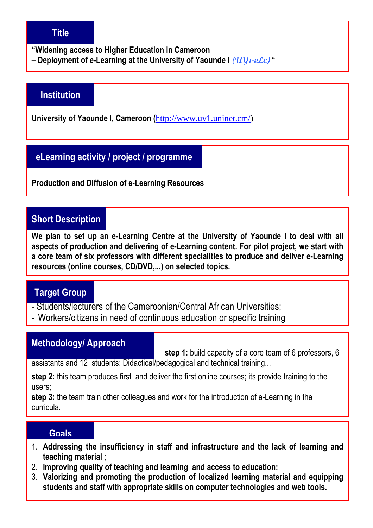### **Title**

**"Widening access to Higher Education in Cameroon** 

**– Deployment of e-Learning at the University of Yaounde I** *(UV1-eLc)* **"** 

#### **Institution**

**University of Yaounde I, Cameroon (**http://www.uy1.uninet.cm/)

### **eLearning activity / project / programme**

**Production and Diffusion of e-Learning Resources** 

### **Short Description**

**We plan to set up an e-Learning Centre at the University of Yaounde I to deal with all aspects of production and delivering of e-Learning content. For pilot project, we start with a core team of six professors with different specialities to produce and deliver e-Learning resources (online courses, CD/DVD,...) on selected topics.** 

#### **Target Group**

- Students/lecturers of the Cameroonian/Central African Universities;
- Workers/citizens in need of continuous education or specific training

#### **Methodology/ Approach**

**step 1:** build capacity of a core team of 6 professors, 6

assistants and 12 students: Didactical/pedagogical and technical training...

**step 2:** this team produces first and deliver the first online courses; its provide training to the users;

**step 3:** the team train other colleagues and work for the introduction of e-Learning in the curricula.

#### **Goals**

- 1. **Addressing the insufficiency in staff and infrastructure and the lack of learning and teaching material** ;
- 2. **Improving quality of teaching and learning and access to education;**
- 3. **Valorizing and promoting the production of localized learning material and equipping students and staff with appropriate skills on computer technologies and web tools.**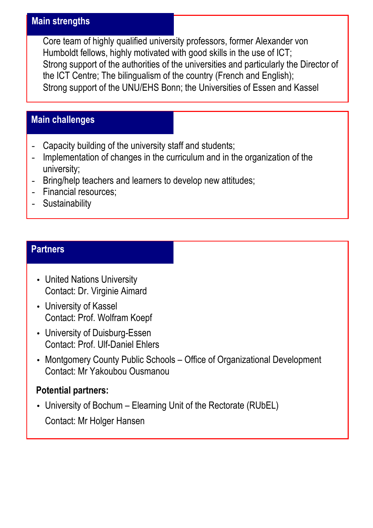#### **Main strengths**

Core team of highly qualified university professors, former Alexander von Humboldt fellows, highly motivated with good skills in the use of ICT; Strong support of the authorities of the universities and particularly the Director of the ICT Centre; The bilingualism of the country (French and English); Strong support of the UNU/EHS Bonn; the Universities of Essen and Kassel

# **Main challenges**

- Capacity building of the university staff and students;
- Implementation of changes in the curriculum and in the organization of the university;
- Bring/help teachers and learners to develop new attitudes;
- Financial resources;
- Sustainability

## **Partners**

- United Nations University Contact: Dr. Virginie Aimard
- University of Kassel Contact: Prof. Wolfram Koepf
- University of Duisburg-Essen Contact: Prof. Ulf-Daniel Ehlers
- Montgomery County Public Schools Office of Organizational Development Contact: Mr Yakoubou Ousmanou

# **Potential partners:**

• University of Bochum – Elearning Unit of the Rectorate (RUbEL) Contact: Mr Holger Hansen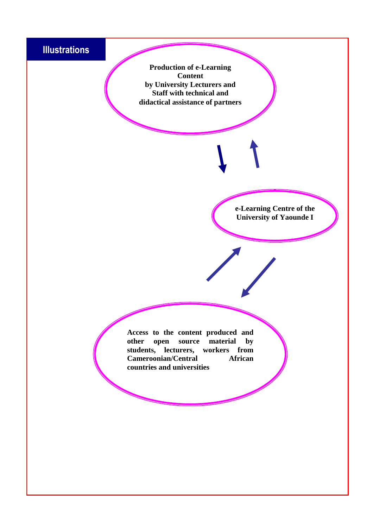